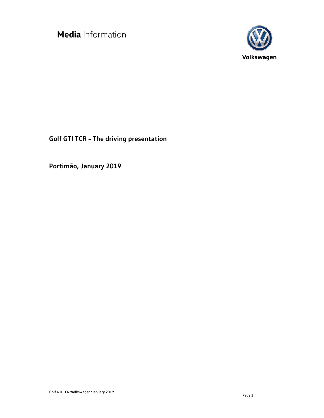

**Golf GTI TCR – The driving presentation** 

**Portimão, January 2019**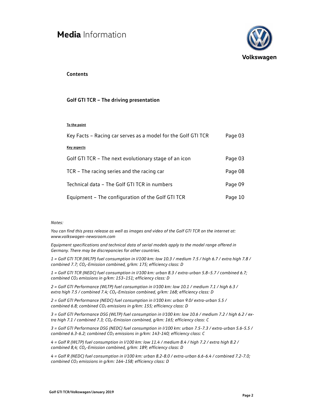

### **Contents**

#### **Golf GTI TCR – The driving presentation**

#### **To the point**

| Key Facts - Racing car serves as a model for the Golf GTI TCR | Page 03 |
|---------------------------------------------------------------|---------|
| Key aspects                                                   |         |
| Golf GTI TCR - The next evolutionary stage of an icon         | Page 03 |
| TCR - The racing series and the racing car                    | Page 08 |
| Technical data - The Golf GTI TCR in numbers                  | Page 09 |
| Equipment - The configuration of the Golf GTI TCR             | Page 10 |

#### *Notes:*

*You can find this press release as well as images and video of the Golf GTI TCR on the internet at: www.volkswagen-newsroom.com* 

*Equipment specifications and technical data of serial models apply to the model range offered in Germany. There may be discrepancies for other countries.* 

*1 = Golf GTI TCR (WLTP) fuel consumption in l/100 km: low 10.3 / medium 7.5 / high 6.7 / extra high 7.8 / combined 7.7; CO₂-Emission combined, g/km: 175; efficiency class: D* 

*1 = Golf GTI TCR (NEDC) fuel consumption in l/100 km: urban 8.3 / extra-urban 5.8–5.7 / combined 6.7; combined CO2 emissions in g/km: 153–151; efficiency class: D* 

*2 = Golf GTI Performance (WLTP) fuel consumption in l/100 km: low 10.1 / medium 7.1 / high 6.3 / extra high 7.5 / combined 7.4; CO₂-Emission combined, g/km: 168; efficiency class: D* 

*2 = Golf GTI Performance (NEDC) fuel consumption in l/100 km: urban 9.0/ extra-urban 5.5 / combined 6.8; combined CO2 emissions in g/km: 155; efficiency class: D* 

*3 = Golf GTI Performance DSG (WLTP) fuel consumption in l/100 km: low 10.6 / medium 7.2 / high 6.2 / extra high 7.1 / combined 7.3; CO₂-Emission combined, g/km: 165; efficiency class: C* 

*3 = Golf GTI Performance DSG (NEDC) fuel consumption in l/100 km: urban 7.5-7.3 / extra-urban 5.6-5.5 / combined 6.3-6.2; combined CO2 emissions in g/km: 143-140; efficiency class: C* 

*4 = Golf R (WLTP) fuel consumption in l/100 km: low 11.4 / medium 8.4 / high 7.2 / extra high 8.2 / combined 8,4; CO₂-Emission combined, g/km: 189; efficiency class: D* 

*4 = Golf R (NEDC) fuel consumption in l/100 km: urban 8.2-8.0 / extra-urban 6.6-6.4 / combined 7.2-7.0; combined CO2 emissions in g/km: 164-158; efficiency class: D*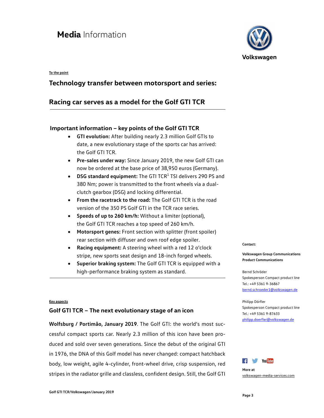#### **To the point**

### **Technology transfer between motorsport and series:**

### **Racing car serves as a model for the Golf GTI TCR**

### **Important information – key points of the Golf GTI TCR**

- **GTI evolution:** After building nearly 2.3 million Golf GTIs to date, a new evolutionary stage of the sports car has arrived: the Golf GTI TCR.
- **Pre-sales under way:** Since January 2019, the new Golf GTI can now be ordered at the base price of 38,950 euros (Germany).
- **DSG standard equipment:** The GTI TCR<sup>1</sup> TSI delivers 290 PS and 380 Nm; power is transmitted to the front wheels via a dualclutch gearbox (DSG) and locking differential.
- **From the racetrack to the road:** The Golf GTI TCR is the road version of the 350 PS Golf GTI in the TCR race series.
- **Speeds of up to 260 km/h:** Without a limiter (optional), the Golf GTI TCR reaches a top speed of 260 km/h.
- **Motorsport genes:** Front section with splitter (front spoiler) rear section with diffuser and own roof edge spoiler.
- **Racing equipment:** A steering wheel with a red 12 o'clock stripe, new sports seat design and 18-inch forged wheels.
- **Superior braking system:** The Golf GTI TCR is equipped with a high-performance braking system as standard.

#### **Key aspects**

### **Golf GTI TCR – The next evolutionary stage of an icon**

**Wolfsburg / Portimão, January 2019**. The Golf GTI: the world's most successful compact sports car. Nearly 2.3 million of this icon have been produced and sold over seven generations. Since the debut of the original GTI in 1976, the DNA of this Golf model has never changed: compact hatchback body, low weight, agile 4-cylinder, front-wheel drive, crisp suspension, red stripes in the radiator grille and classless, confident design. Still, the Golf GTI



#### **Contact:**

**Volkswagen Group Communications Product Communications** 

Bernd Schröder Spokesperson Compact product line Tel.: +49 5361 9-36867 bernd.schroeder1@volkswagen.de

#### Philipp Dörfler Spokesperson Compact product line Tel.: +49 5361 9-87633 philipp.doerfler@volkswagen.de



**More at**  volkswagen-media-services.com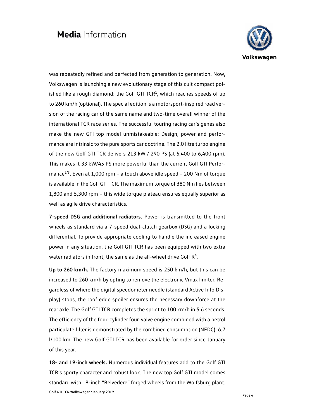

was repeatedly refined and perfected from generation to generation. Now, Volkswagen is launching a new evolutionary stage of this cult compact polished like a rough diamond: the Golf GTI TCR<sup>1</sup>, which reaches speeds of up to 260 km/h (optional). The special edition is a motorsport-inspired road version of the racing car of the same name and two-time overall winner of the international TCR race series. The successful touring racing car's genes also make the new GTI top model unmistakeable: Design, power and performance are intrinsic to the pure sports car doctrine. The 2.0 litre turbo engine of the new Golf GTI TCR delivers 213 kW / 290 PS (at 5,400 to 6,400 rpm). This makes it 33 kW/45 PS more powerful than the current Golf GTI Performance $^{2/3}$ . Even at 1,000 rpm – a touch above idle speed – 200 Nm of torque is available in the Golf GTI TCR. The maximum torque of 380 Nm lies between 1,800 and 5,300 rpm – this wide torque plateau ensures equally superior as well as agile drive characteristics.

**7-speed DSG and additional radiators.** Power is transmitted to the front wheels as standard via a 7-speed dual-clutch gearbox (DSG) and a locking differential. To provide appropriate cooling to handle the increased engine power in any situation, the Golf GTI TCR has been equipped with two extra water radiators in front, the same as the all-wheel drive Golf  $R<sup>4</sup>$ .

**Up to 260 km/h.** The factory maximum speed is 250 km/h, but this can be increased to 260 km/h by opting to remove the electronic Vmax limiter. Regardless of where the digital speedometer needle (standard Active Info Display) stops, the roof edge spoiler ensures the necessary downforce at the rear axle. The Golf GTI TCR completes the sprint to 100 km/h in 5.6 seconds. The efficiency of the four-cylinder four-valve engine combined with a petrol particulate filter is demonstrated by the combined consumption (NEDC): 6.7 l/100 km. The new Golf GTI TCR has been available for order since January of this year.

**Page 4 Golf GTI TCR/Volkswagen/January 2019 18- and 19-inch wheels.** Numerous individual features add to the Golf GTI TCR's sporty character and robust look. The new top Golf GTI model comes standard with 18-inch "Belvedere" forged wheels from the Wolfsburg plant.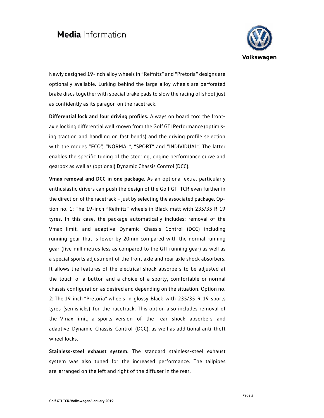

Newly designed 19-inch alloy wheels in "Reifnitz" and "Pretoria" designs are optionally available. Lurking behind the large alloy wheels are perforated brake discs together with special brake pads to slow the racing offshoot just as confidently as its paragon on the racetrack.

**Differential lock and four driving profiles.** Always on board too: the frontaxle locking differential well known from the Golf GTI Performance (optimising traction and handling on fast bends) and the driving profile selection with the modes "ECO", "NORMAL", "SPORT" and "INDIVIDUAL". The latter enables the specific tuning of the steering, engine performance curve and gearbox as well as (optional) Dynamic Chassis Control (DCC).

**Vmax removal and DCC in one package.** As an optional extra, particularly enthusiastic drivers can push the design of the Golf GTI TCR even further in the direction of the racetrack – just by selecting the associated package. Option no. 1: The 19-inch "Reifnitz" wheels in Black matt with 235/35 R 19 tyres. In this case, the package automatically includes: removal of the Vmax limit, and adaptive Dynamic Chassis Control (DCC) including running gear that is lower by 20mm compared with the normal running gear (five millimetres less as compared to the GTI running gear) as well as a special sports adjustment of the front axle and rear axle shock absorbers. It allows the features of the electrical shock absorbers to be adjusted at the touch of a button and a choice of a sporty, comfortable or normal chassis configuration as desired and depending on the situation. Option no. 2: The 19-inch "Pretoria" wheels in glossy Black with 235/35 R 19 sports tyres (semislicks) for the racetrack. This option also includes removal of the Vmax limit, a sports version of the rear shock absorbers and adaptive Dynamic Chassis Control (DCC), as well as additional anti-theft wheel locks.

**Stainless-steel exhaust system.** The standard stainless-steel exhaust system was also tuned for the increased performance. The tailpipes are arranged on the left and right of the diffuser in the rear.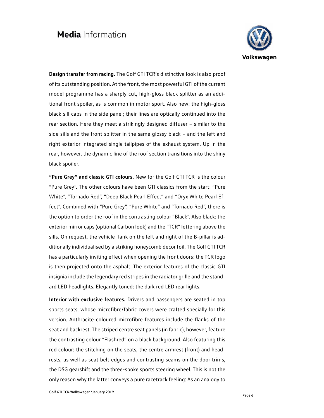

**Design transfer from racing.** The Golf GTI TCR's distinctive look is also proof of its outstanding position. At the front, the most powerful GTI of the current model programme has a sharply cut, high-gloss black splitter as an additional front spoiler, as is common in motor sport. Also new: the high-gloss black sill caps in the side panel; their lines are optically continued into the rear section. Here they meet a strikingly designed diffuser – similar to the side sills and the front splitter in the same glossy black – and the left and right exterior integrated single tailpipes of the exhaust system. Up in the rear, however, the dynamic line of the roof section transitions into the shiny black spoiler.

**"Pure Grey" and classic GTI colours.** New for the Golf GTI TCR is the colour "Pure Grey". The other colours have been GTI classics from the start: "Pure White", "Tornado Red", "Deep Black Pearl Effect" and "Oryx White Pearl Effect". Combined with "Pure Grey", "Pure White" and "Tornado Red", there is the option to order the roof in the contrasting colour "Black". Also black: the exterior mirror caps (optional Carbon look) and the "TCR" lettering above the sills. On request, the vehicle flank on the left and right of the B-pillar is additionally individualised by a striking honeycomb decor foil. The Golf GTI TCR has a particularly inviting effect when opening the front doors: the TCR logo is then projected onto the asphalt. The exterior features of the classic GTI insignia include the legendary red stripes in the radiator grille and the standard LED headlights. Elegantly toned: the dark red LED rear lights.

**Interior with exclusive features.** Drivers and passengers are seated in top sports seats, whose microfibre/fabric covers were crafted specially for this version. Anthracite-coloured microfibre features include the flanks of the seat and backrest. The striped centre seat panels (in fabric), however, feature the contrasting colour "Flashred" on a black background. Also featuring this red colour: the stitching on the seats, the centre armrest (front) and headrests, as well as seat belt edges and contrasting seams on the door trims, the DSG gearshift and the three-spoke sports steering wheel. This is not the only reason why the latter conveys a pure racetrack feeling: As an analogy to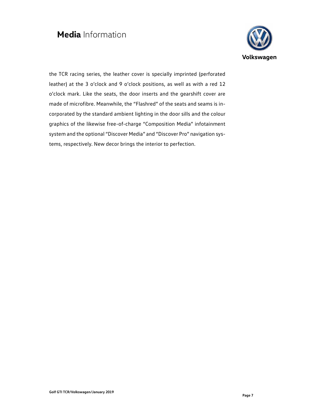

the TCR racing series, the leather cover is specially imprinted (perforated leather) at the 3 o'clock and 9 o'clock positions, as well as with a red 12 o'clock mark. Like the seats, the door inserts and the gearshift cover are made of microfibre. Meanwhile, the "Flashred" of the seats and seams is incorporated by the standard ambient lighting in the door sills and the colour graphics of the likewise free-of-charge "Composition Media" infotainment system and the optional "Discover Media" and "Discover Pro" navigation systems, respectively. New decor brings the interior to perfection.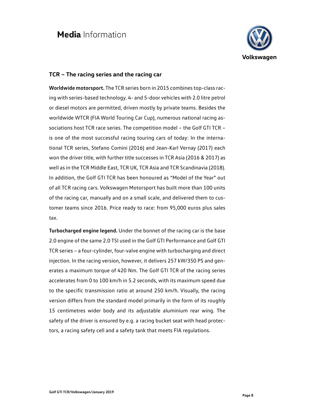

### **TCR – The racing series and the racing car**

**Worldwide motorsport.** The TCR series born in 2015 combines top-class racing with series-based technology. 4- and 5-door vehicles with 2.0 litre petrol or diesel motors are permitted, driven mostly by private teams. Besides the worldwide WTCR (FIA World Touring Car Cup), numerous national racing associations host TCR race series. The competition model – the Golf GTI TCR – is one of the most successful racing touring cars of today: In the international TCR series, Stefano Comini (2016) and Jean-Karl Vernay (2017) each won the driver title, with further title successes in TCR Asia (2016 & 2017) as well as in the TCR Middle East, TCR UK, TCR Asia and TCR Scandinavia (2018). In addition, the Golf GTI TCR has been honoured as "Model of the Year" out of all TCR racing cars. Volkswagen Motorsport has built more than 100 units of the racing car, manually and on a small scale, and delivered them to customer teams since 2016. Price ready to race: from 95,000 euros plus sales tax.

**Turbocharged engine legend.** Under the bonnet of the racing car is the base 2.0 engine of the same 2.0 TSI used in the Golf GTI Performance and Golf GTI TCR series – a four-cylinder, four-valve engine with turbocharging and direct injection. In the racing version, however, it delivers 257 kW/350 PS and generates a maximum torque of 420 Nm. The Golf GTI TCR of the racing series accelerates from 0 to 100 km/h in 5.2 seconds, with its maximum speed due to the specific transmission ratio at around 250 km/h. Visually, the racing version differs from the standard model primarily in the form of its roughly 15 centimetres wider body and its adjustable aluminium rear wing. The safety of the driver is ensured by e.g. a racing bucket seat with head protectors, a racing safety cell and a safety tank that meets FIA regulations.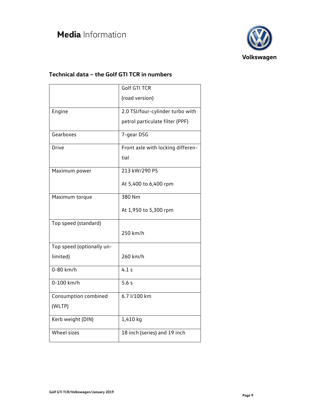

### **Technical data – the Golf GTI TCR in numbers**

|                           | <b>Golf GTI TCR</b>               |
|---------------------------|-----------------------------------|
|                           | (road version)                    |
| Engine                    | 2.0 TSI/four-cylinder turbo with  |
|                           | petrol particulate filter (PPF)   |
| Gearboxes                 | 7-gear DSG                        |
| <b>Drive</b>              | Front axle with locking differen- |
|                           | tial                              |
| Maximum power             | 213 kW/290 PS                     |
|                           | At 5,400 to 6,400 rpm             |
| Maximum torque            | 380 Nm                            |
|                           | At 1,950 to 5,300 rpm             |
| Top speed (standard)      |                                   |
|                           | 250 km/h                          |
| Top speed (optionally un- |                                   |
| limited)                  | 260 km/h                          |
| $0-80$ km/h               | 4.1 s                             |
| 0-100 km/h                | 5.6s                              |
| Consumption combined      | 6.7 l/100 km                      |
| (WLTP)                    |                                   |
| Kerb weight (DIN)         | 1,410 kg                          |
| <b>Wheel sizes</b>        | 18 inch (series) and 19 inch      |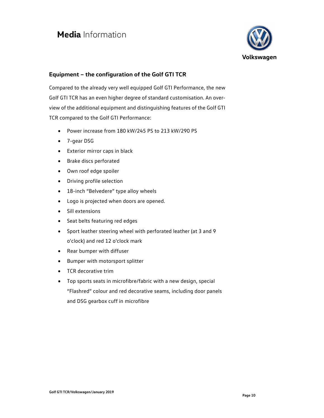

### **Equipment – the configuration of the Golf GTI TCR**

Compared to the already very well equipped Golf GTI Performance, the new Golf GTI TCR has an even higher degree of standard customisation. An overview of the additional equipment and distinguishing features of the Golf GTI TCR compared to the Golf GTI Performance:

- Power increase from 180 kW/245 PS to 213 kW/290 PS
- 7-gear DSG
- Exterior mirror caps in black
- Brake discs perforated
- Own roof edge spoiler
- Driving profile selection
- 18-inch "Belvedere" type alloy wheels
- Logo is projected when doors are opened.
- Sill extensions
- Seat belts featuring red edges
- Sport leather steering wheel with perforated leather (at 3 and 9 o'clock) and red 12 o'clock mark
- Rear bumper with diffuser
- Bumper with motorsport splitter
- TCR decorative trim
- Top sports seats in microfibre/fabric with a new design, special "Flashred" colour and red decorative seams, including door panels and DSG gearbox cuff in microfibre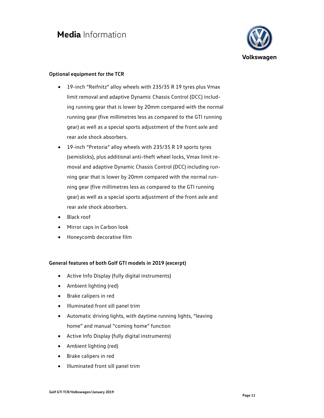

### **Optional equipment for the TCR**

- 19-inch "Reifnitz" alloy wheels with 235/35 R 19 tyres plus Vmax limit removal and adaptive Dynamic Chassis Control (DCC) including running gear that is lower by 20mm compared with the normal running gear (five millimetres less as compared to the GTI running gear) as well as a special sports adjustment of the front axle and rear axle shock absorbers.
- 19-inch "Pretoria" alloy wheels with 235/35 R 19 sports tyres (semislicks), plus additional anti-theft wheel locks, Vmax limit removal and adaptive Dynamic Chassis Control (DCC) including running gear that is lower by 20mm compared with the normal running gear (five millimetres less as compared to the GTI running gear) as well as a special sports adjustment of the front axle and rear axle shock absorbers.
- Black roof
- Mirror caps in Carbon look
- Honeycomb decorative film

### **General features of both Golf GTI models in 2019 (excerpt)**

- Active Info Display (fully digital instruments)
- Ambient lighting (red)
- Brake calipers in red
- Illuminated front sill panel trim
- Automatic driving lights, with daytime running lights, "leaving home" and manual "coming home" function
- Active Info Display (fully digital instruments)
- Ambient lighting (red)
- Brake calipers in red
- Illuminated front sill panel trim